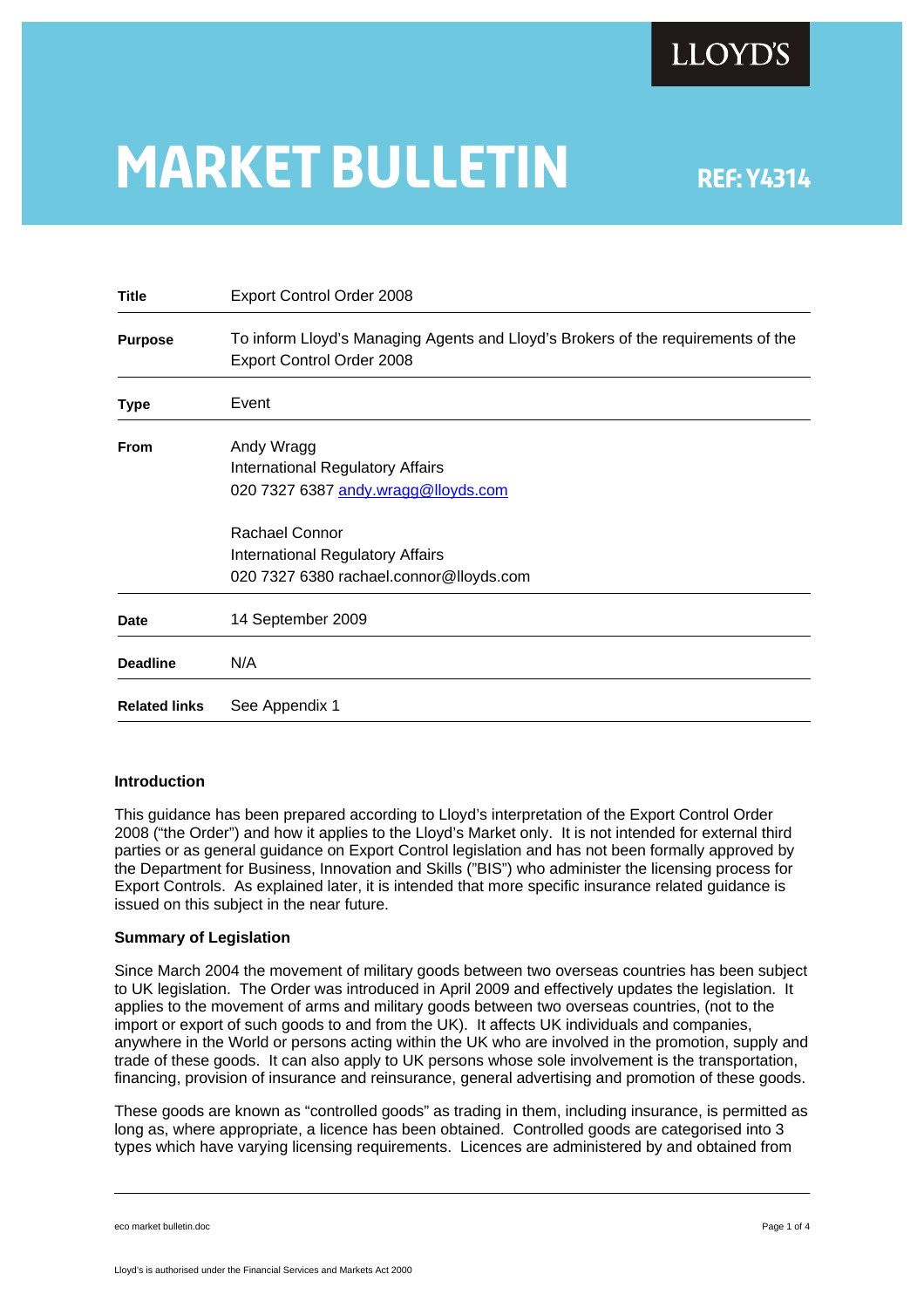

# **MARKET BULLETIN** REF: Y4314

| <b>Title</b>         | Export Control Order 2008                                                                                     |  |  |  |  |
|----------------------|---------------------------------------------------------------------------------------------------------------|--|--|--|--|
| <b>Purpose</b>       | To inform Lloyd's Managing Agents and Lloyd's Brokers of the requirements of the<br>Export Control Order 2008 |  |  |  |  |
| <b>Type</b>          | Event                                                                                                         |  |  |  |  |
| <b>From</b>          | Andy Wragg<br>International Regulatory Affairs<br>020 7327 6387 andy.wragg@lloyds.com                         |  |  |  |  |
|                      | Rachael Connor<br>International Regulatory Affairs<br>020 7327 6380 rachael.connor@lloyds.com                 |  |  |  |  |
| Date                 | 14 September 2009                                                                                             |  |  |  |  |
| <b>Deadline</b>      | N/A                                                                                                           |  |  |  |  |
| <b>Related links</b> | See Appendix 1                                                                                                |  |  |  |  |

### **Introduction**

This guidance has been prepared according to Lloyd's interpretation of the Export Control Order 2008 ("the Order") and how it applies to the Lloyd's Market only. It is not intended for external third parties or as general guidance on Export Control legislation and has not been formally approved by the Department for Business, Innovation and Skills ("BIS") who administer the licensing process for Export Controls. As explained later, it is intended that more specific insurance related guidance is issued on this subject in the near future.

#### **Summary of Legislation**

Since March 2004 the movement of military goods between two overseas countries has been subject to UK legislation. The Order was introduced in April 2009 and effectively updates the legislation. It applies to the movement of arms and military goods between two overseas countries, (not to the import or export of such goods to and from the UK). It affects UK individuals and companies, anywhere in the World or persons acting within the UK who are involved in the promotion, supply and trade of these goods. It can also apply to UK persons whose sole involvement is the transportation, financing, provision of insurance and reinsurance, general advertising and promotion of these goods.

These goods are known as "controlled goods" as trading in them, including insurance, is permitted as long as, where appropriate, a licence has been obtained. Controlled goods are categorised into 3 types which have varying licensing requirements. Licences are administered by and obtained from

eco market bulletin.doc **Page 1 of 4** Page 1 of 4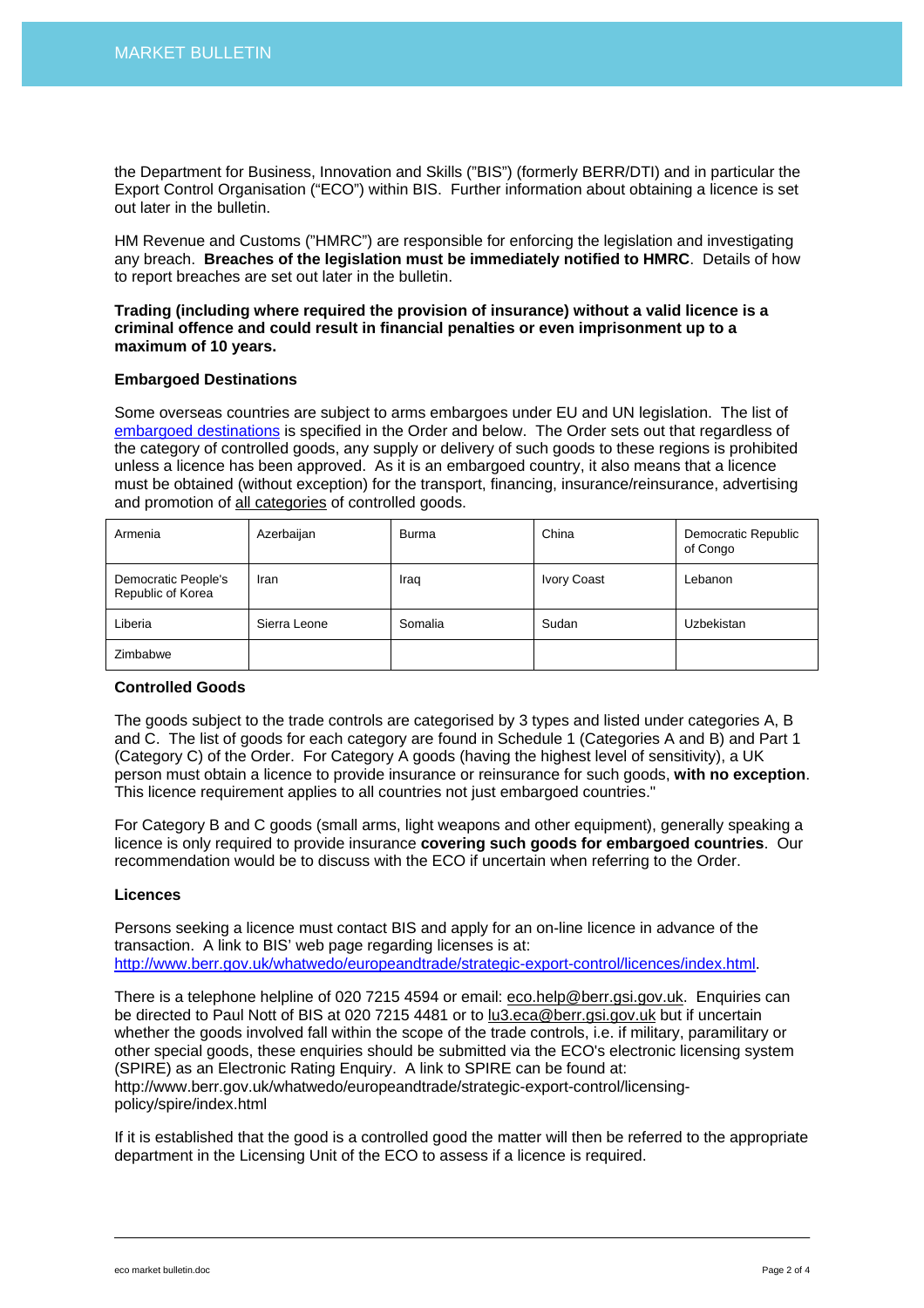the Department for Business, Innovation and Skills ("BIS") (formerly BERR/DTI) and in particular the Export Control Organisation ("ECO") within BIS. Further information about obtaining a licence is set out later in the bulletin.

HM Revenue and Customs ("HMRC") are responsible for enforcing the legislation and investigating any breach. **Breaches of the legislation must be immediately notified to HMRC**. Details of how to report breaches are set out later in the bulletin.

### **Trading (including where required the provision of insurance) without a valid licence is a criminal offence and could result in financial penalties or even imprisonment up to a maximum of 10 years.**

### **Embargoed Destinations**

Some overseas countries are subject to arms embargoes under EU and UN legislation. The list of [embargoed destinations](http://www.berr.gov.uk/whatwedo/europeandtrade/strategic-export-control/sanctions-embargoes/by-country/index.html) is specified in the Order and below. The Order sets out that regardless of the category of controlled goods, any supply or delivery of such goods to these regions is prohibited unless a licence has been approved. As it is an embargoed country, it also means that a licence must be obtained (without exception) for the transport, financing, insurance/reinsurance, advertising and promotion of all categories of controlled goods.

| Armenia                                  | Azerbaijan   | <b>Burma</b> | China              | Democratic Republic<br>of Congo |
|------------------------------------------|--------------|--------------|--------------------|---------------------------------|
| Democratic People's<br>Republic of Korea | Iran         | Iraq         | <b>Ivory Coast</b> | Lebanon                         |
| Liberia                                  | Sierra Leone | Somalia      | Sudan              | Uzbekistan                      |
| Zimbabwe                                 |              |              |                    |                                 |

# **Controlled Goods**

The goods subject to the trade controls are categorised by 3 types and listed under categories A, B and C. The list of goods for each category are found in Schedule 1 (Categories A and B) and Part 1 (Category C) of the Order. For Category A goods (having the highest level of sensitivity), a UK person must obtain a licence to provide insurance or reinsurance for such goods, **with no exception**. This licence requirement applies to all countries not just embargoed countries."

For Category B and C goods (small arms, light weapons and other equipment), generally speaking a licence is only required to provide insurance **covering such goods for embargoed countries**. Our recommendation would be to discuss with the ECO if uncertain when referring to the Order.

### **Licences**

Persons seeking a licence must contact BIS and apply for an on-line licence in advance of the transaction. A link to BIS' web page regarding licenses is at: [http://www.berr.gov.uk/whatwedo/europeandtrade/strategic-export-control/licences/index.html.](http://www.berr.gov.uk/whatwedo/europeandtrade/strategic-export-control/licences/index.html)

There is a telephone helpline of 020 7215 4594 or email: [eco.help@berr.gsi.gov.uk](mailto:eco.help@berr.gsi.gov.uk). Enquiries can be directed to Paul Nott of BIS at 020 7215 4481 or to [lu3.eca@berr.gsi.gov.uk](mailto:lu3.eca@berr.gsi.gov.uk) but if uncertain whether the goods involved fall within the scope of the trade controls, i.e. if military, paramilitary or other special goods, these enquiries should be submitted via the ECO's electronic licensing system (SPIRE) as an Electronic Rating Enquiry. A link to SPIRE can be found at: http://www.berr.gov.uk/whatwedo/europeandtrade/strategic-export-control/licensingpolicy/spire/index.html

If it is established that the good is a controlled good the matter will then be referred to the appropriate department in the Licensing Unit of the ECO to assess if a licence is required.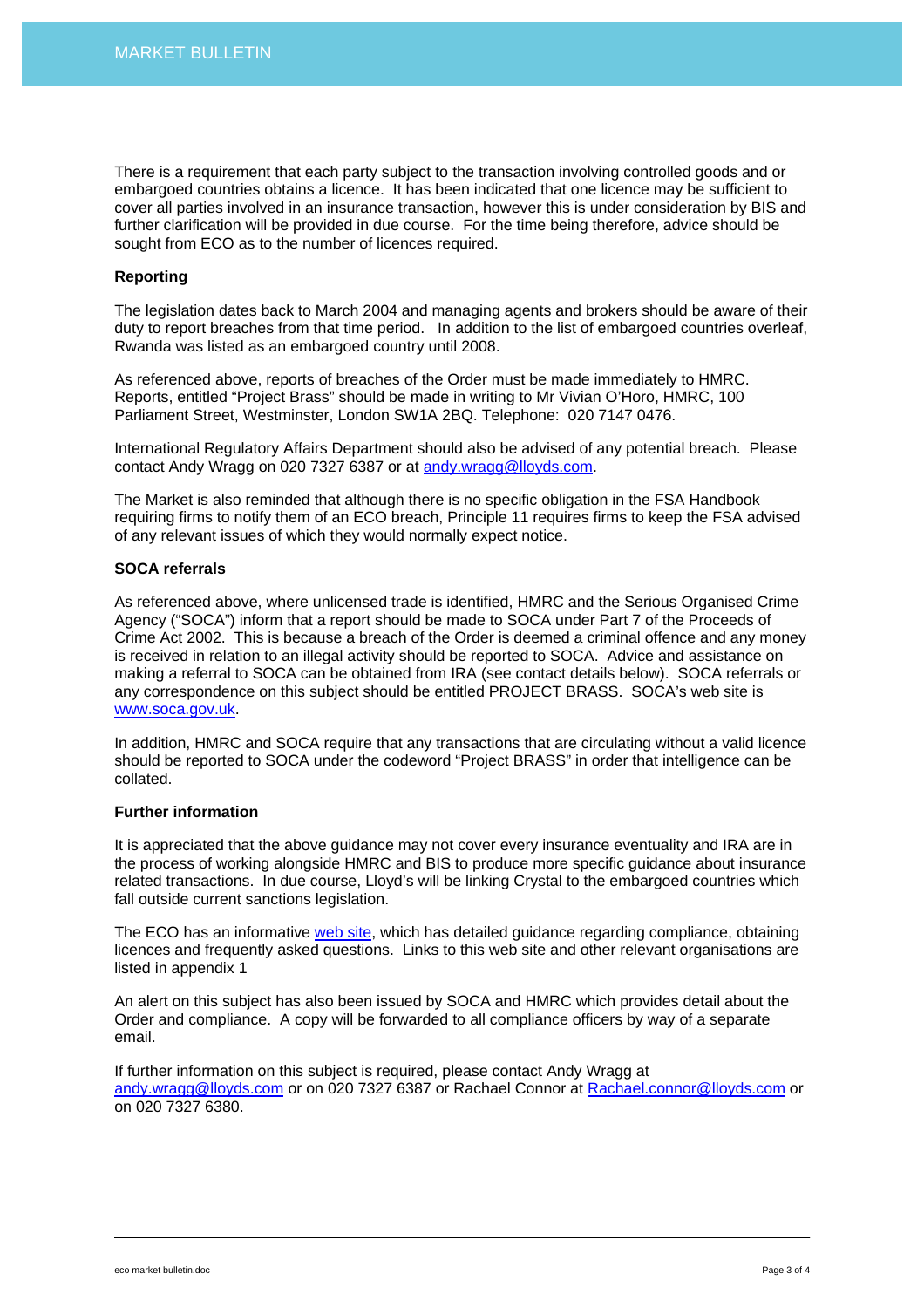There is a requirement that each party subject to the transaction involving controlled goods and or embargoed countries obtains a licence. It has been indicated that one licence may be sufficient to cover all parties involved in an insurance transaction, however this is under consideration by BIS and further clarification will be provided in due course. For the time being therefore, advice should be sought from ECO as to the number of licences required.

# **Reporting**

The legislation dates back to March 2004 and managing agents and brokers should be aware of their duty to report breaches from that time period. In addition to the list of embargoed countries overleaf, Rwanda was listed as an embargoed country until 2008.

As referenced above, reports of breaches of the Order must be made immediately to HMRC. Reports, entitled "Project Brass" should be made in writing to Mr Vivian O'Horo, HMRC, 100 Parliament Street, Westminster, London SW1A 2BQ. Telephone: 020 7147 0476.

International Regulatory Affairs Department should also be advised of any potential breach. Please contact Andy Wragg on 020 7327 6387 or at [andy.wragg@lloyds.com.](mailto:andy.wragg@lloyds.com)

The Market is also reminded that although there is no specific obligation in the FSA Handbook requiring firms to notify them of an ECO breach, Principle 11 requires firms to keep the FSA advised of any relevant issues of which they would normally expect notice.

# **SOCA referrals**

As referenced above, where unlicensed trade is identified, HMRC and the Serious Organised Crime Agency ("SOCA") inform that a report should be made to SOCA under Part 7 of the Proceeds of Crime Act 2002. This is because a breach of the Order is deemed a criminal offence and any money is received in relation to an illegal activity should be reported to SOCA. Advice and assistance on making a referral to SOCA can be obtained from IRA (see contact details below). SOCA referrals or any correspondence on this subject should be entitled PROJECT BRASS. SOCA's web site is [www.soca.gov.uk](http://www.soca.gov.uk/).

In addition, HMRC and SOCA require that any transactions that are circulating without a valid licence should be reported to SOCA under the codeword "Project BRASS" in order that intelligence can be collated.

# **Further information**

It is appreciated that the above guidance may not cover every insurance eventuality and IRA are in the process of working alongside HMRC and BIS to produce more specific guidance about insurance related transactions. In due course, Lloyd's will be linking Crystal to the embargoed countries which fall outside current sanctions legislation.

The ECO has an informative [web site](http://www.berr.gov.uk/whatwedo/europeandtrade/strategic-export-control/index.html), which has detailed guidance regarding compliance, obtaining licences and frequently asked questions. Links to this web site and other relevant organisations are listed in appendix 1

An alert on this subject has also been issued by SOCA and HMRC which provides detail about the Order and compliance. A copy will be forwarded to all compliance officers by way of a separate email.

If further information on this subject is required, please contact Andy Wragg at [andy.wragg@lloyds.com](mailto:andy.wragg@lloyds.com) or on 020 7327 6387 or Rachael Connor at [Rachael.connor@lloyds.com](mailto:Rachael.connor@lloyds.com) or on 020 7327 6380.